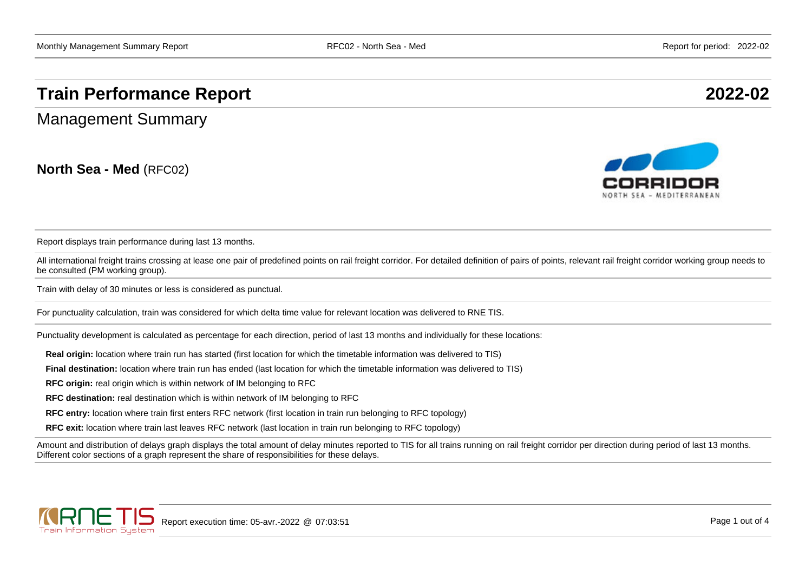## **Train Performance Report 2022-02**

Management Summary

**North Sea - Med** (RFC02)



Report displays train performance during last 13 months.

All international freight trains crossing at lease one pair of predefined points on rail freight corridor. For detailed definition of pairs of points, relevant rail freight corridor working group needs to be consulted (PM working group).

Train with delay of 30 minutes or less is considered as punctual.

For punctuality calculation, train was considered for which delta time value for relevant location was delivered to RNE TIS.

Punctuality development is calculated as percentage for each direction, period of last 13 months and individually for these locations:

**Real origin:** location where train run has started (first location for which the timetable information was delivered to TIS)

**Final destination:** location where train run has ended (last location for which the timetable information was delivered to TIS)

**RFC origin:** real origin which is within network of IM belonging to RFC

**RFC destination:** real destination which is within network of IM belonging to RFC

**RFC entry:** location where train first enters RFC network (first location in train run belonging to RFC topology)

**RFC exit:** location where train last leaves RFC network (last location in train run belonging to RFC topology)

Amount and distribution of delays graph displays the total amount of delay minutes reported to TIS for all trains running on rail freight corridor per direction during period of last 13 months. Different color sections of a graph represent the share of responsibilities for these delays.

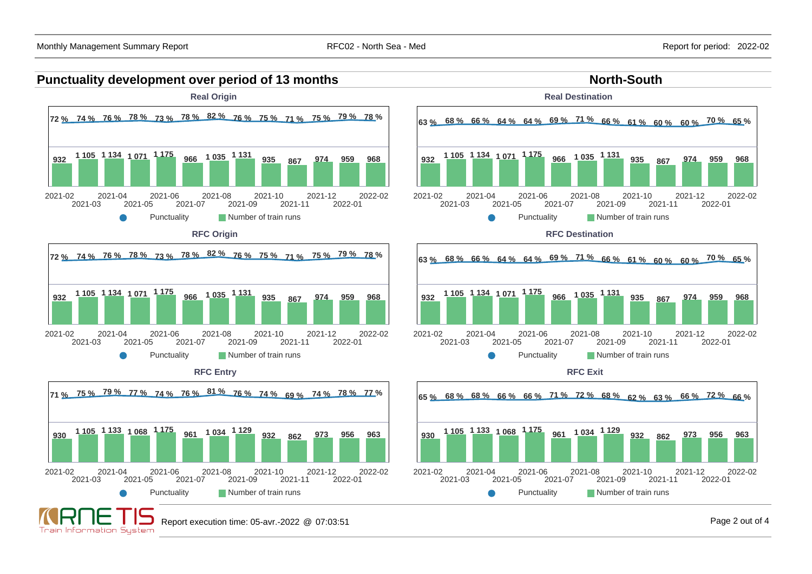## **Punctuality development over period of 13 months North-South North-South Real Destination Real Origin 72 % 74 % 76 % 78 % 73 % 78 % 82 % 76 % 75 % 71 % 75 % 79 % 78 % 63 % 68 % 66 % 64 % 64 % 69 % 71 % 66 % 61 % 60 % 60 % 70 % 65 % <sup>932</sup> 1 105 1 134 1 071 1 175 <sup>966</sup> 1 035 1 131 <sup>935</sup> <sup>867</sup> <sup>974</sup> <sup>959</sup> <sup>968</sup> <sup>932</sup> 1 105 1 134 1 071 1 175 <sup>966</sup> 1 035 1 131 <sup>935</sup> <sup>867</sup> <sup>974</sup> <sup>959</sup> <sup>968</sup>** 2021-02 2021-04 2021-06 2021-08 2021-10 2021-12 2022-02 2021-02 2021-04 2021-06 2021-08 2021-10 2021-12 2022-02 2021-03 2021-05 2021-07 2021-09 2021-11 2022-01 2021-03 2021-05 2021-07 2021-09 2021-11 2022-01 Punctuality **Number of train runs** Punctuality **Number of train runs RFC Origin RFC Destination 72 % 74 % 76 % 78 % 73 % 78 % 82 % 76 % 75 % 71 % 75 % 79 % 78 % 63 % 68 % 66 % 64 % 64 % 69 % 71 % 66 % 61 % 60 % 60 % 70 % 65 % <sup>932</sup> 1 105 1 134 1 071 1 175 <sup>966</sup> 1 035 1 131 <sup>935</sup> <sup>867</sup> <sup>974</sup> <sup>959</sup> <sup>968</sup> <sup>932</sup> 1 105 1 134 1 071 1 175 <sup>966</sup> 1 035 1 131 <sup>935</sup> <sup>867</sup> <sup>974</sup> <sup>959</sup> <sup>968</sup>** 2021-02 2021-04 2021-06 2021-08 2021-10 2021-12 2022-02 2021-02 2021-04 2021-06 2021-08 2021-10 2021-12 2022-02 2021-03 2021-05 2021-03 2021-05 2021-07 2021-09 2021-11 2022-01 2021-07 2021-09 2021-11 2022-01 Punctuality **Number of train runs** Punctuality **Number of train runs RFC Entry RFC Exit71 % 75 % 79 % 77 % 74 % 76 % 81 % 76 % 74 % 69 % 74 % 78 % 77 % 65 % 68 % 68 % 66 % 66 % 71 % 72 % 68 % 62 % 63 % 66 % 72 % 66 % <sup>930</sup> 1 105 1 133 1 068 1 175 <sup>961</sup> 1 034 1 129 <sup>932</sup> <sup>862</sup> <sup>973</sup> <sup>956</sup> <sup>963</sup> <sup>930</sup> 1 105 1 133 1 068 1 175 <sup>961</sup> 1 034 1 129 <sup>932</sup> <sup>862</sup> <sup>973</sup> <sup>956</sup> <sup>963</sup>** 2021-02 2021-08 2022-02 2021-04 2021-06 2021-10 2021-12 2022-02 2021-02 2021-04 2021-06 2021-08 2021-10 2021-12 2021-03 2021-07 2021-03 2021-05 2021-09 2021-11 2022-01 2021-05 2021-07 2021-09 2021-11 2022-01 Punctuality **Number of train runs** Punctuality **Number of train runs** Report execution time: 05-avr.-2022 @ 07:03:51 Page 2 out of 4 Train Information System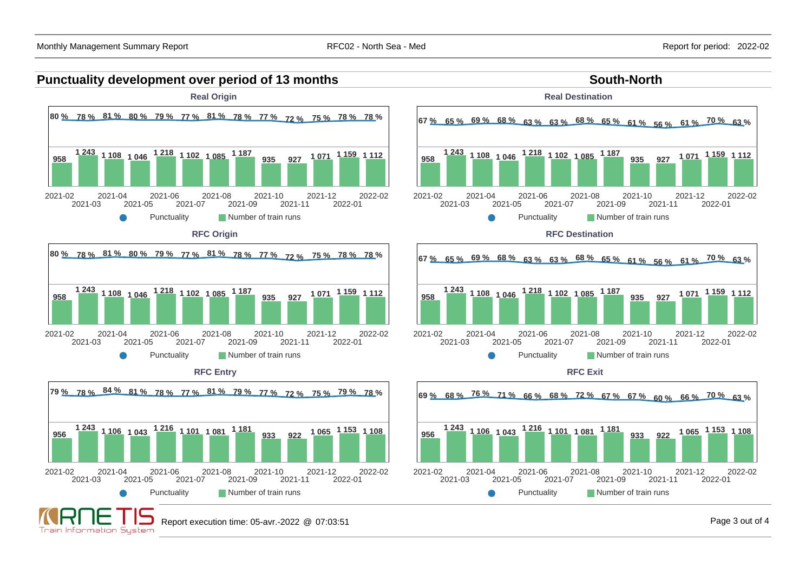## **Punctuality development over period of 13 months South-North South-North**